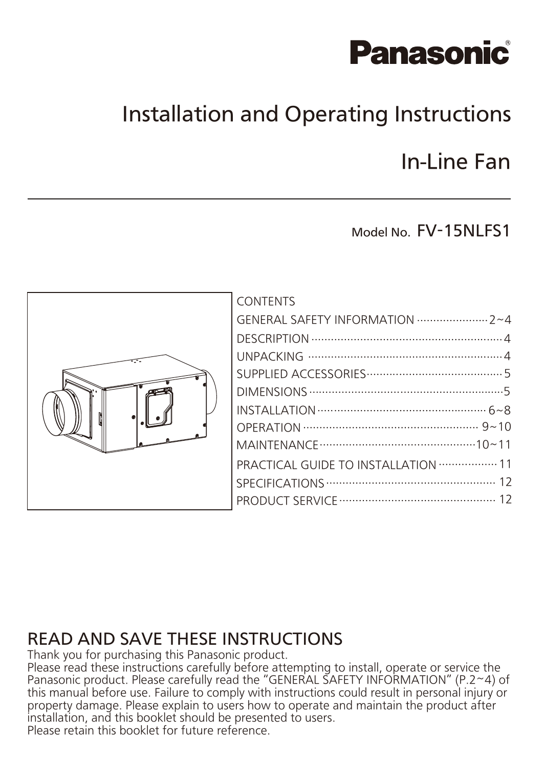# **Panasonic**

### Installation and Operating Instructions

### In-Line Fan

### Model No. FV-15NLFS1



| CONTENTS                                              |  |
|-------------------------------------------------------|--|
|                                                       |  |
|                                                       |  |
|                                                       |  |
|                                                       |  |
|                                                       |  |
|                                                       |  |
|                                                       |  |
|                                                       |  |
| PRACTICAL GUIDE TO INSTALLATION ·················· 11 |  |
|                                                       |  |
|                                                       |  |
|                                                       |  |

### READ AND SAVE THESE INSTRUCTIONS

Thank you for purchasing this Panasonic product.

Please read these instructions carefully before attempting to install, operate or service the Panasonic product. Please carefully read the "GENERAL SAFETY INFORMATION" (P.2~4) of this manual before use. Failure to comply with instructions could result in personal injury or property damage. Please explain to users how to operate and maintain the product after installation, and this booklet should be presented to users. Please retain this booklet for future reference.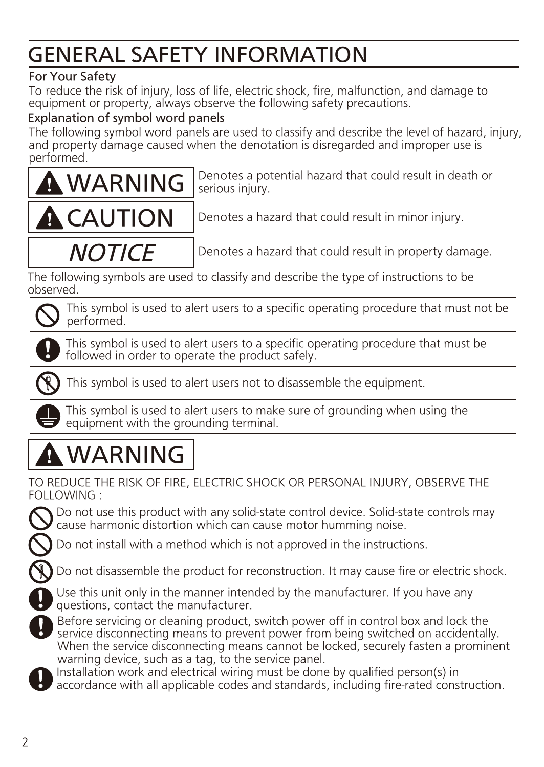### GENERAL SAFETY INFORMATION

#### For Your Safety

To reduce the risk of injury, loss of life, electric shock, fire, malfunction, and damage to equipment or property, always observe the following safety precautions.

#### Explanation of symbol word panels

The following symbol word panels are used to classify and describe the level of hazard, injury, and property damage caused when the denotation is disregarded and improper use is performed.



Denotes a potential hazard that could result in death or serious injury.



Denotes a hazard that could result in minor injury.

**NOTICE** 

Denotes a hazard that could result in property damage.

The following symbols are used to classify and describe the type of instructions to be observed.

This symbol is used to alert users to a specific operating procedure that must not be performed.

This symbol is used to alert users to a specific operating procedure that must be followed in order to operate the product safely.



This symbol is used to alert users not to disassemble the equipment.

This symbol is used to alert users to make sure of grounding when using the equipment with the grounding terminal.

# WARNING

TO REDUCE THE RISK OF FIRE, ELECTRIC SHOCK OR PERSONAL INJURY, OBSERVE THE FOLLOWING :

Do not use this product with any solid-state control device. Solid-state controls may cause harmonic distortion which can cause motor humming noise.

Do not install with a method which is not approved in the instructions.

Do not disassemble the product for reconstruction. It may cause fire or electric shock.



Before servicing or cleaning product, switch power off in control box and lock the service disconnecting means to prevent power from being switched on accidentally. When the service disconnecting means cannot be locked, securely fasten a prominent warning device, such as a tag, to the service panel.

Installation work and electrical wiring must be done by qualified person(s) in accordance with all applicable codes and standards, including fire-rated construction.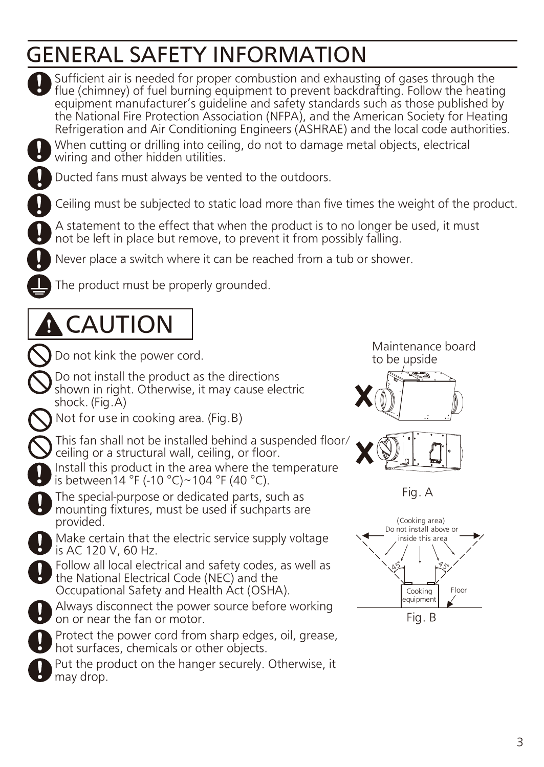### GENERAL SAFETY INFORMATION

When cutting or drilling into ceiling, do not to damage metal objects, electrical wiring and other hidden utilities. Ducted fans must always be vented to the outdoors. Ceiling must be subjected to static load more than five times the weight of the product. A statement to the effect that when the product is to no longer be used, it must not be left in place but remove, to prevent it from possibly falling. Do not kink the power cord.<br>
Do not kink the power cord. to be upside Never place a switch where it can be reached from a tub or shower. The product must be properly grounded. Make certain that the electric service supply voltage is AC 120 V, 60 Hz. Put the product on the hanger securely. Otherwise, it may drop. Protect the power cord from sharp edges, oil, grease, hot surfaces, chemicals or other objects. Do not install the product as the directions shown in right. Otherwise, it may cause electric shock. (Fig.A) Follow all local electrical and safety codes, as well as the National Electrical Code (NEC) and the Occupational Safety and Health Act (OSHA). Always disconnect the power source before working on or near the fan or motor. Sufficient air is needed for proper combustion and exhausting of gases through the flue (chimney) of fuel burning equipment to prevent backdrafting. Follow the heating equipment manufacturer's quideline and safety standards such as those published by the National Fire Protection Association (NFPA), and the American Society for Heating Refrigeration and Air Conditioning Engineers (ASHRAE) and the local code authorities. Install this product in the area where the temperature is between14 °F (-10 °C)~104 °F (40 °C). CAUTION The special-purpose or dedicated parts, such as mounting fixtures, must be used if suchparts are provided. Floor 45 45 Cooking equipment (Cooking area) Do not install above or inside this area Fig. B Fig. A Not for use in cooking area. (Fig.B) This fan shall not be installed behind a suspended floor/ ceiling or a structural wall, ceiling, or floor.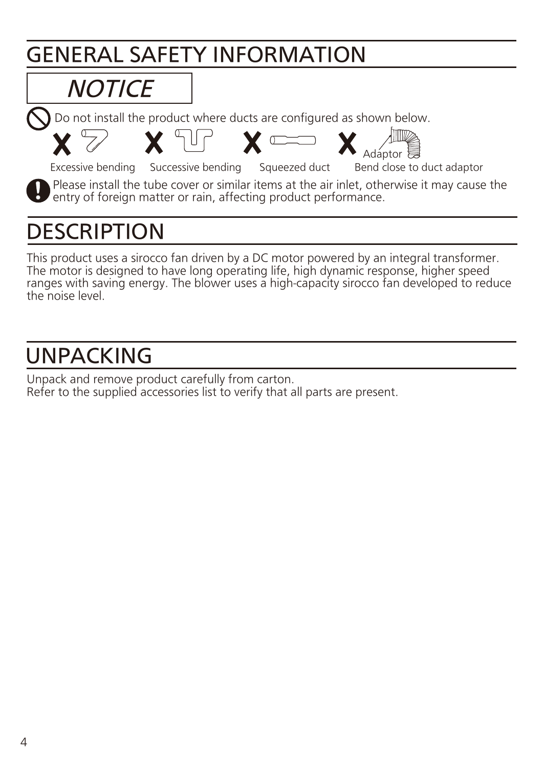### GENERAL SAFETY INFORMATION

# **NOTICE**

Do not install the product where ducts are configured as shown below.



# **DESCRIPTION**

This product uses a sirocco fan driven by a DC motor powered by an integral transformer. The motor is designed to have long operating life, high dynamic response, higher speed ranges with saving energy. The blower uses a high-capacity sirocco fan developed to reduce the noise level.

### UNPACKING

Unpack and remove product carefully from carton. Refer to the supplied accessories list to verify that all parts are present.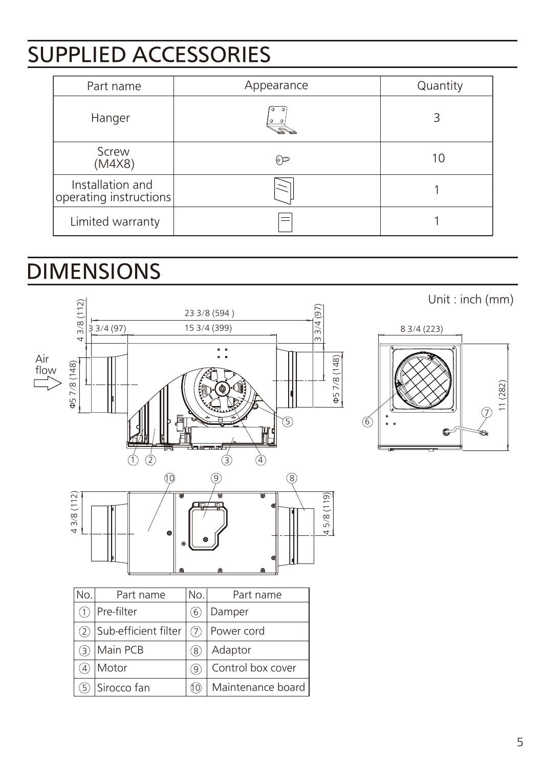### SUPPLIED ACCESSORIES

| Part name                                  | Appearance   | Quantity |
|--------------------------------------------|--------------|----------|
| Hanger                                     | $\circ$      | 3        |
| Screw<br>(M4X8)                            | $\mathbb{P}$ | 10       |
| Installation and<br>operating instructions |              |          |
| Limited warranty                           |              |          |

### DIMENSIONS



Unit : inch (mm)

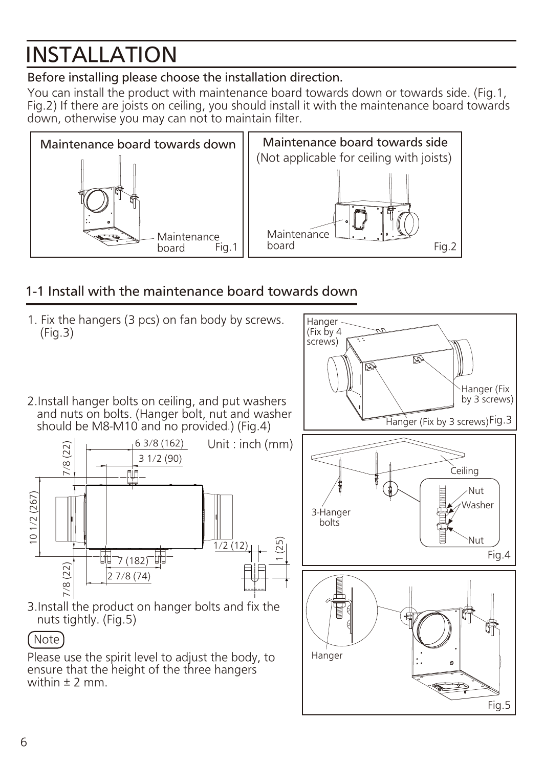# INSTALLATION

### Before installing please choose the installation direction.

You can install the product with maintenance board towards down or towards side. (Fig.1, Fig.2) If there are joists on ceiling, you should install it with the maintenance board towards down, otherwise you may can not to maintain filter.



### 1-1 Install with the maintenance board towards down

1. Fix the hangers (3 pcs) on fan body by screws. Hanger (Fix by 4 (Fig.3) screws) ত্রি Hanger (Fix by 3 screws) 2.Install hanger bolts on ceiling, and put washers and nuts on bolts. (Hanger bolt, nut and washer Hanger (Fix by 3 screws) Fig.3 should be M8-M10 and no provided.) (Fig.4) 6 3/8 (162) Unit : inch (mm)  $(22)$ 7/8 (22)  $\left[\right.\right]$ 3 1/2 (90)  $7/8($ Ceiling Nut 10 1/2 (267) 10 1/2 (267) Washer 3-Hanger bolts Nut 1 (25) 1/2 (12) Fig.4  $\overline{\mathbb{H}}$  7 (182)  $(22)$ 2 7/8 (74) $7/8$ 3.Install the product on hanger bolts and fix the nuts tightly. (Fig.5) Note Hanger Please use the spirit level to adjust the body, to ensure that the height of the three hangers within  $\pm$  2 mm Fig.5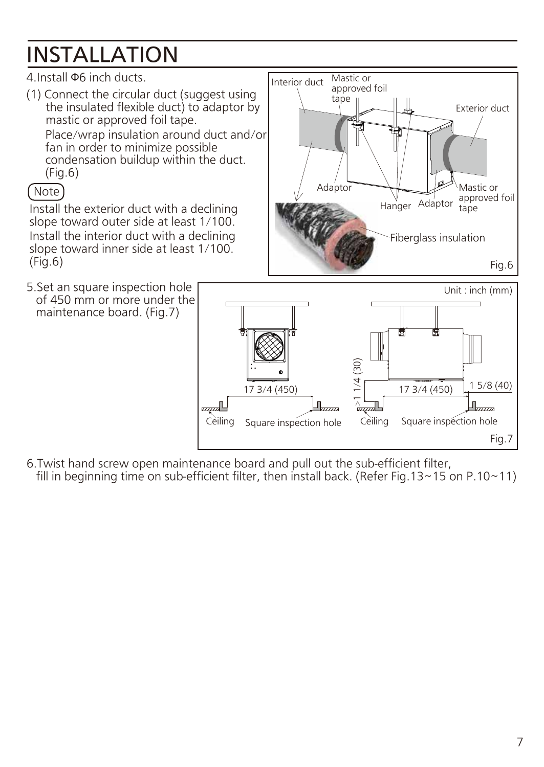# INSTALLATION

### 4.Install Φ6 inch ducts.

(1) Connect the circular duct (suggest using the insulated flexible duct) to adaptor by mastic or approved foil tape.

Place/wrap insulation around duct and/or fan in order to minimize possible condensation buildup within the duct. (Fig.6)

### Note

Install the exterior duct with a declining slope toward outer side at least 1/100. Install the interior duct with a declining slope toward inner side at least 1/100. (Fig.6)

5.Set an square inspection hole of 450 mm or more under the maintenance board. (Fig.7)





6.Twist hand screw open maintenance board and pull out the sub-efficient filter, fill in beginning time on sub-efficient filter, then install back. (Refer Fig. 13~15 on P.10~11)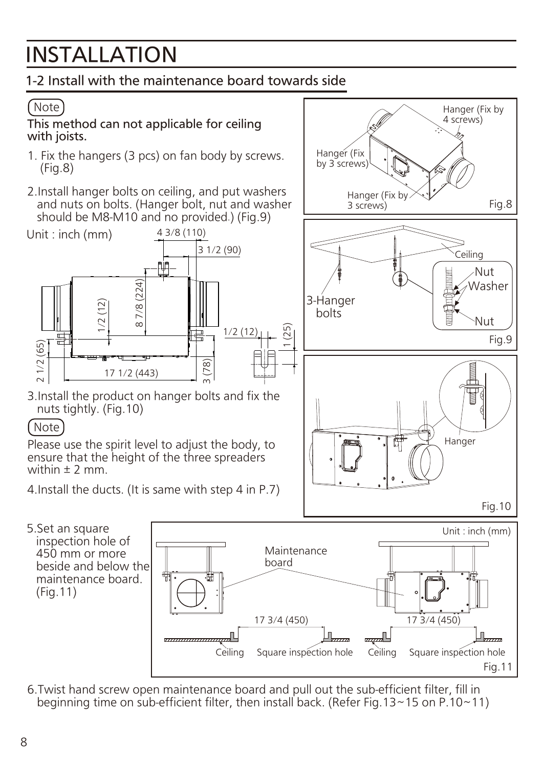# INSTALLATION

### 1-2 Install with the maintenance board towards side

### Note

This method can not applicable for ceiling with joists.

- 1. Fix the hangers (3 pcs) on fan body by screws. (Fig.8)
- 2.Install hanger bolts on ceiling, and put washers and nuts on bolts. (Hanger bolt, nut and washer should be M8-M10 and no provided.) (Fig.9)



3.Install the product on hanger bolts and fix the nuts tightly. (Fig.10)

#### Note

Please use the spirit level to adjust the body, to ensure that the height of the three spreaders within  $\pm$  2 mm.

4.Install the ducts. (It is same with step 4 in P.7)

5.Set an square inspection hole of 450 mm or more beside and below the maintenance board. (Fig.11)



6.Twist hand screw open maintenance board and pull out the sub-efficient filter, fill in beginning time on sub-efficient filter, then install back. (Refer Fig.13~15 on P.10~11)



Hanger (Fix by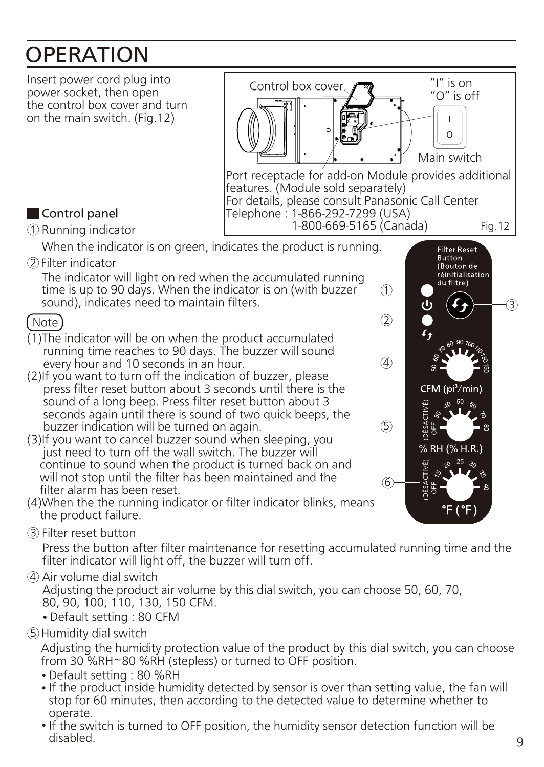### **OPERATION**



- stop for 60 minutes, then according to the detected value to determine whether to operate.
- If the switch is turned to OFF position, the humidity sensor detection function will be disabled.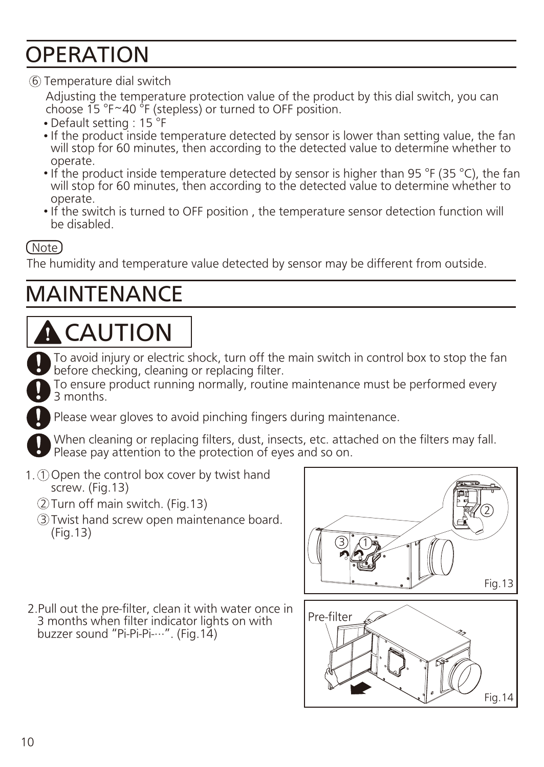### OPERATION

#### Temperature dial switch 6

Adjusting the temperature protection value of the product by this dial switch, you can choose  $15 \text{°F~40} \text{°F}$  (stepless) or turned to OFF position.

- Default setting : 15<sup>°</sup>F
- If the product inside temperature detected by sensor is lower than setting value, the fan will stop for 60 minutes, then according to the detected value to determine whether to operate.
- If the product inside temperature detected by sensor is higher than 95 °F (35 °C), the fan will stop for 60 minutes, then according to the detected value to determine whether to operate.
- If the switch is turned to OFF position, the temperature sensor detection function will be disabled.

#### Note

The humidity and temperature value detected by sensor may be different from outside.

### MAINTENANCE

# **A** CAUTION

To avoid injury or electric shock, turn off the main switch in control box to stop the fan before checking, cleaning or replacing filter.

To ensure product running normally, routine maintenance must be performed every 3 months.

Please wear gloves to avoid pinching fingers during maintenance.

When cleaning or replacing filters, dust, insects, etc. attached on the filters may fall. Please pay attention to the protection of eyes and so on.

- 1. Open the control box cover by twist hand 1 screw. (Fig.13)
	- 2)Turn off main switch. (Fig.13)
	- Twist hand screw open maintenance board. 3 (Fig.13)
- 2.Pull out the pre-filter, clean it with water once in 3 months when filter indicator lights on with buzzer sound "Pi-Pi-Pi-···". (Fig.14)



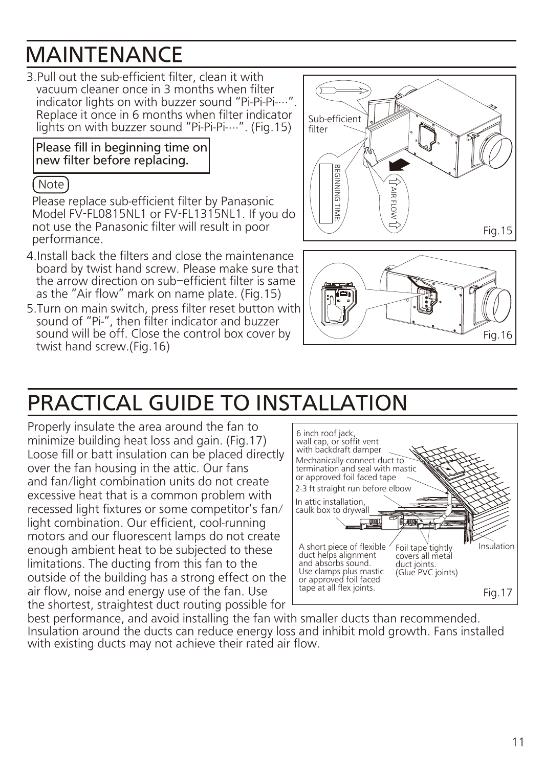### MAINTENANCE

3.Pull out the sub-efficient filter, clean it with vacuum cleaner once in 3 months when filter indicator lights on with buzzer sound "Pi-Pi-Pi-..." Replace it once in 6 months when filter indicator lights on with buzzer sound "Pi-Pi-Pi-...". (Fig.15)

#### Please fill in beginning time on new filter before replacing.

#### ( Note )

Please replace sub-efficient filter by Panasonic Model FV-FL0815NL1 or FV-FL1315NL1. If you do not use the Panasonic filter will result in poor performance.

- 4.Install back the filters and close the maintenance board by twist hand screw. Please make sure that the arrow direction on sub–efficient filter is same as the "Air flow" mark on name plate. (Fig.15)
- 5.Turn on main switch, press filter reset button with sound of "Pi-", then filter indicator and buzzer sound will be off. Close the control box cover by twist hand screw.(Fig.16)





### PRACTICAL GUIDE TO INSTALLATION

Properly insulate the area around the fan to minimize building heat loss and gain. (Fig.17) Loose fill or batt insulation can be placed directly over the fan housing in the attic. Our fans and fan/light combination units do not create excessive heat that is a common problem with recessed light fixtures or some competitor's fan/ light combination. Our efficient, cool-running motors and our fluorescent lamps do not create enough ambient heat to be subjected to these limitations. The ducting from this fan to the outside of the building has a strong effect on the air flow, noise and energy use of the fan. Use the shortest, straightest duct routing possible for



best performance, and avoid installing the fan with smaller ducts than recommended. Insulation around the ducts can reduce energy loss and inhibit mold growth. Fans installed with existing ducts may not achieve their rated air flow.